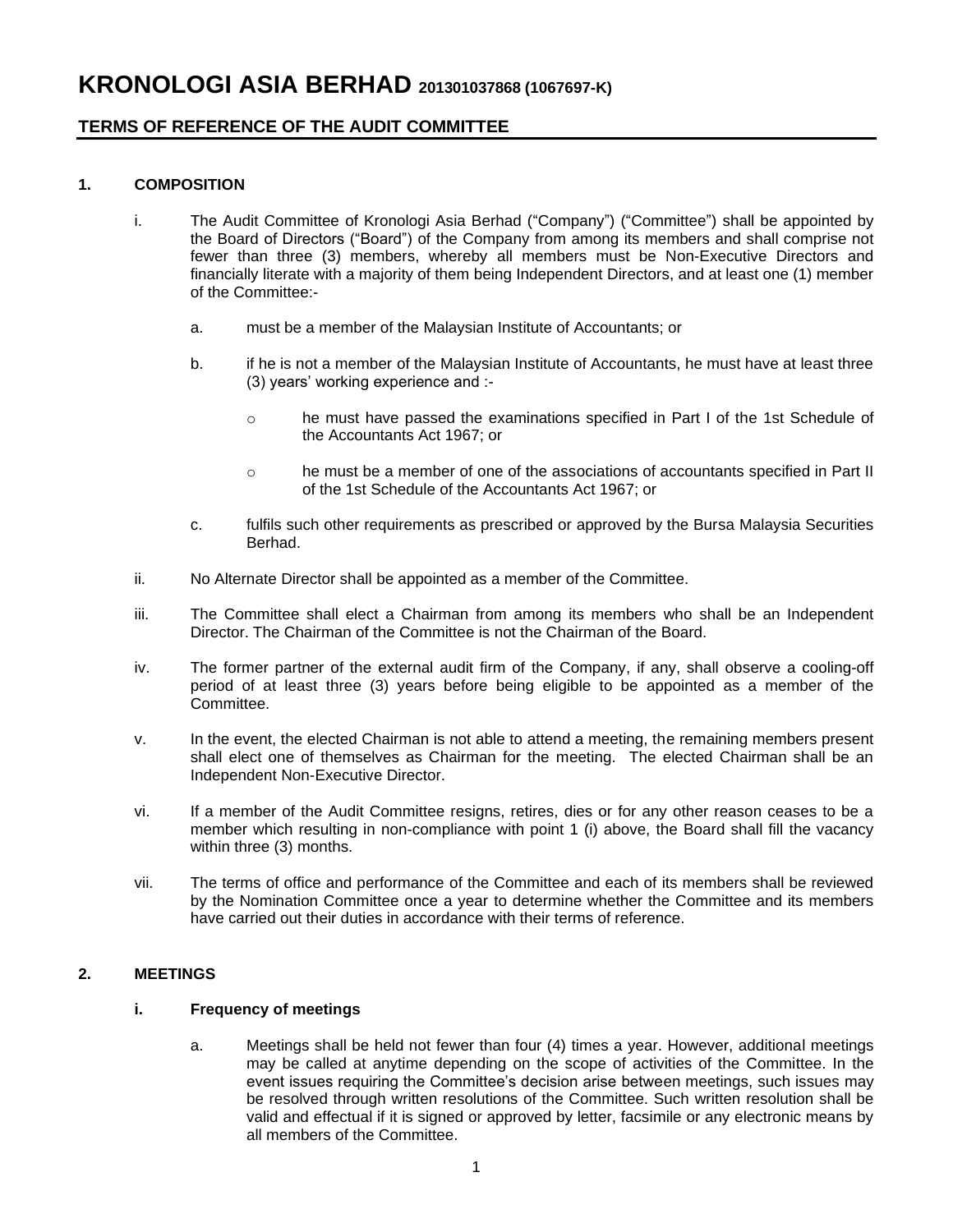## **TERMS OF REFERENCE OF THE AUDIT COMMITTEE**

## **1. COMPOSITION**

- i. The Audit Committee of Kronologi Asia Berhad ("Company") ("Committee") shall be appointed by the Board of Directors ("Board") of the Company from among its members and shall comprise not fewer than three (3) members, whereby all members must be Non-Executive Directors and financially literate with a majority of them being Independent Directors, and at least one (1) member of the Committee:
	- a. must be a member of the Malaysian Institute of Accountants; or
	- b. if he is not a member of the Malaysian Institute of Accountants, he must have at least three (3) years' working experience and :
		- o he must have passed the examinations specified in Part I of the 1st Schedule of the Accountants Act 1967; or
		- o he must be a member of one of the associations of accountants specified in Part II of the 1st Schedule of the Accountants Act 1967; or
	- c. fulfils such other requirements as prescribed or approved by the Bursa Malaysia Securities Berhad.
- ii. No Alternate Director shall be appointed as a member of the Committee.
- iii. The Committee shall elect a Chairman from among its members who shall be an Independent Director. The Chairman of the Committee is not the Chairman of the Board.
- iv. The former partner of the external audit firm of the Company, if any, shall observe a cooling-off period of at least three (3) years before being eligible to be appointed as a member of the Committee.
- v. In the event, the elected Chairman is not able to attend a meeting, the remaining members present shall elect one of themselves as Chairman for the meeting. The elected Chairman shall be an Independent Non-Executive Director.
- vi. If a member of the Audit Committee resigns, retires, dies or for any other reason ceases to be a member which resulting in non-compliance with point 1 (i) above, the Board shall fill the vacancy within three (3) months.
- vii. The terms of office and performance of the Committee and each of its members shall be reviewed by the Nomination Committee once a year to determine whether the Committee and its members have carried out their duties in accordance with their terms of reference.

## **2. MEETINGS**

## **i. Frequency of meetings**

a. Meetings shall be held not fewer than four (4) times a year. However, additional meetings may be called at anytime depending on the scope of activities of the Committee. In the event issues requiring the Committee's decision arise between meetings, such issues may be resolved through written resolutions of the Committee. Such written resolution shall be valid and effectual if it is signed or approved by letter, facsimile or any electronic means by all members of the Committee.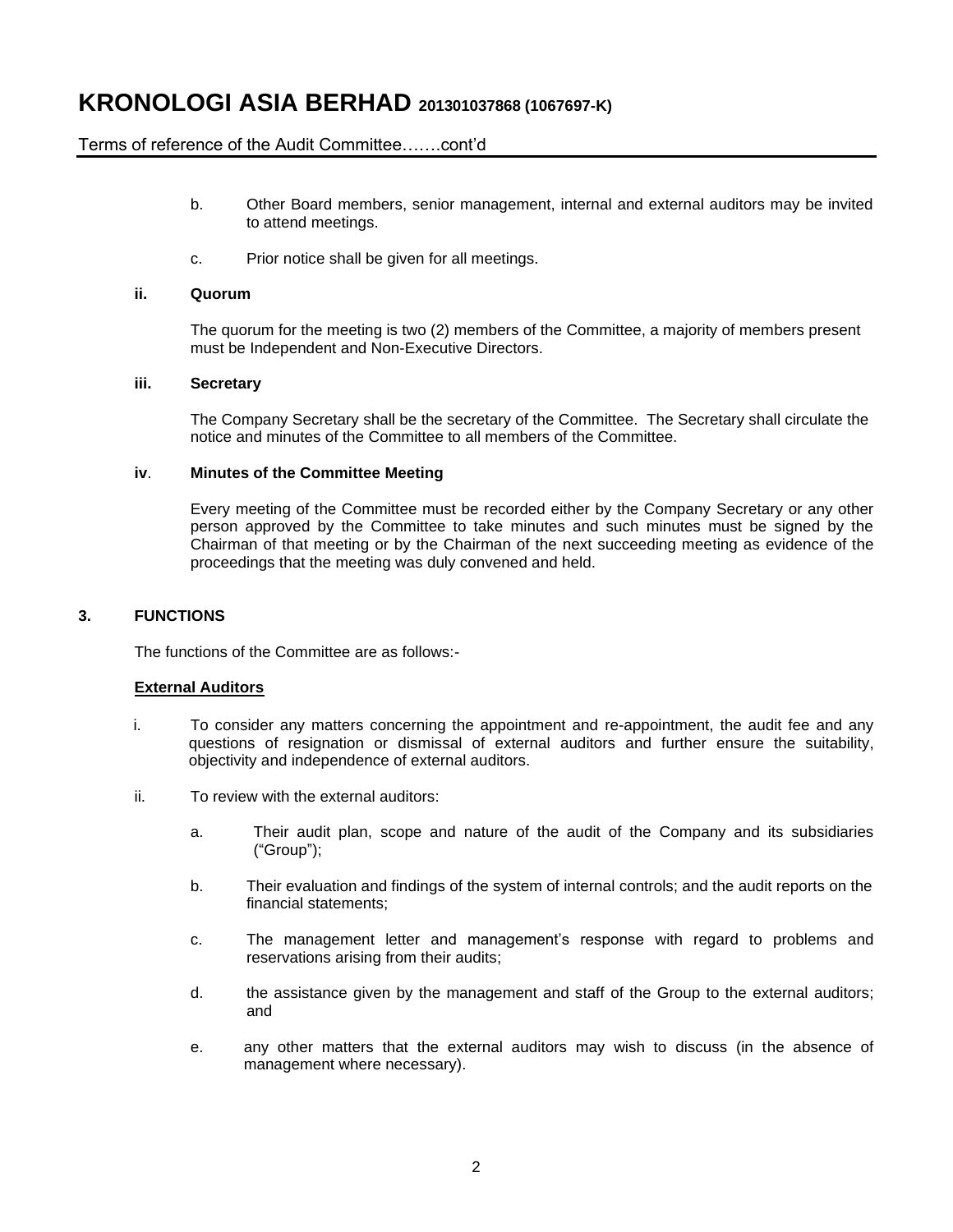## **KRONOLOGI ASIA BERHAD <sup>201301037868</sup> (1067697-K)**

## Terms of reference of the Audit Committee…….cont'd

- b. Other Board members, senior management, internal and external auditors may be invited to attend meetings.
- c. Prior notice shall be given for all meetings.

#### **ii. Quorum**

The quorum for the meeting is two (2) members of the Committee, a majority of members present must be Independent and Non-Executive Directors.

#### **iii. Secretary**

The Company Secretary shall be the secretary of the Committee. The Secretary shall circulate the notice and minutes of the Committee to all members of the Committee.

#### **iv**. **Minutes of the Committee Meeting**

Every meeting of the Committee must be recorded either by the Company Secretary or any other person approved by the Committee to take minutes and such minutes must be signed by the Chairman of that meeting or by the Chairman of the next succeeding meeting as evidence of the proceedings that the meeting was duly convened and held.

#### **3. FUNCTIONS**

The functions of the Committee are as follows:-

#### **External Auditors**

- i. To consider any matters concerning the appointment and re-appointment, the audit fee and any questions of resignation or dismissal of external auditors and further ensure the suitability, objectivity and independence of external auditors.
- ii. To review with the external auditors:
	- a. Their audit plan, scope and nature of the audit of the Company and its subsidiaries ("Group");
	- b. Their evaluation and findings of the system of internal controls; and the audit reports on the financial statements;
	- c. The management letter and management's response with regard to problems and reservations arising from their audits;
	- d. the assistance given by the management and staff of the Group to the external auditors; and
	- e. any other matters that the external auditors may wish to discuss (in the absence of management where necessary).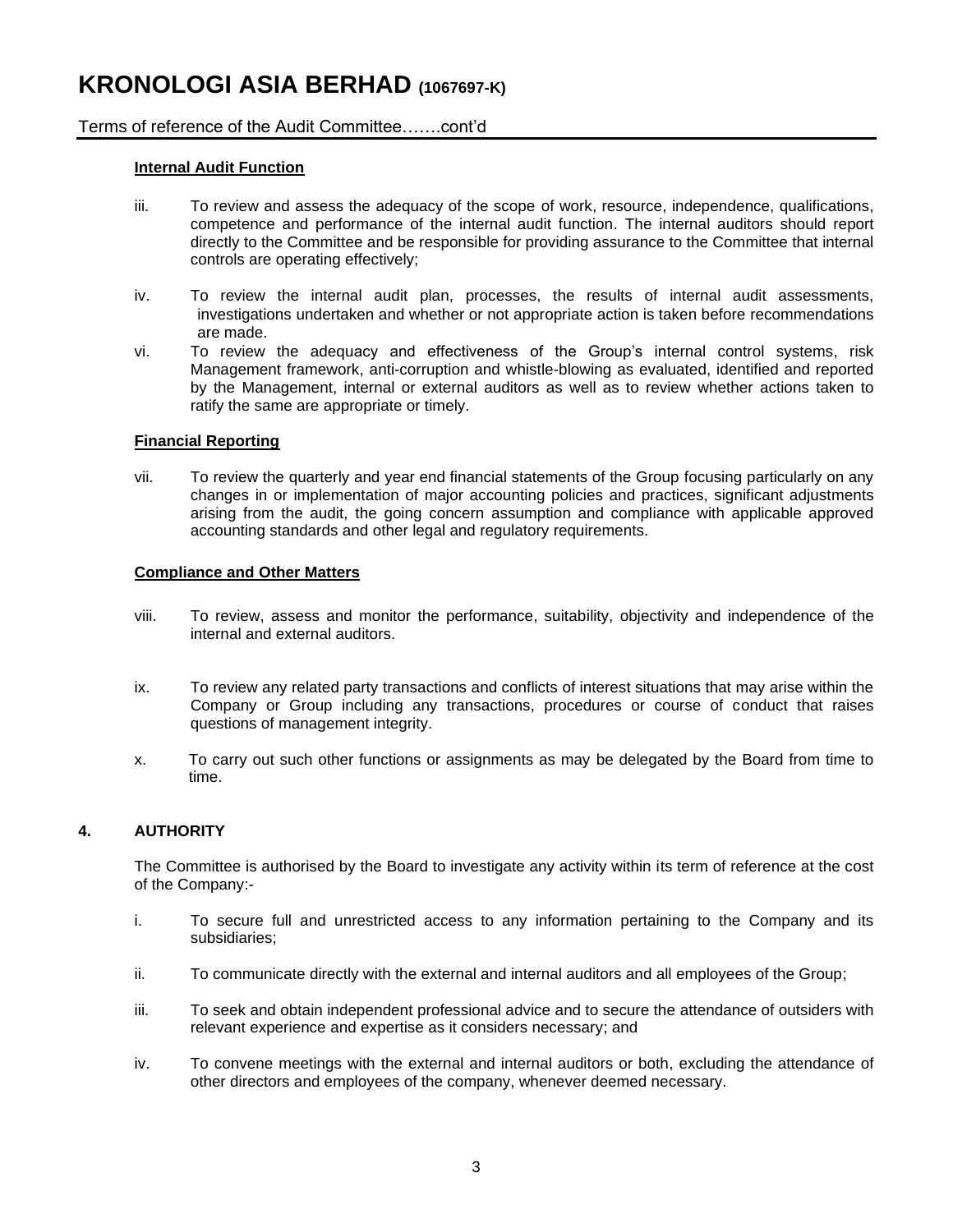# **KRONOLOGI ASIA BERHAD (1067697-K)**

## Terms of reference of the Audit Committee…….cont'd

### **Internal Audit Function**

- iii. To review and assess the adequacy of the scope of work, resource, independence, qualifications, competence and performance of the internal audit function. The internal auditors should report directly to the Committee and be responsible for providing assurance to the Committee that internal controls are operating effectively;
- iv. To review the internal audit plan, processes, the results of internal audit assessments, investigations undertaken and whether or not appropriate action is taken before recommendations are made.
- vi. To review the adequacy and effectiveness of the Group's internal control systems, risk Management framework, anti-corruption and whistle-blowing as evaluated, identified and reported by the Management, internal or external auditors as well as to review whether actions taken to ratify the same are appropriate or timely.

### **Financial Reporting**

vii. To review the quarterly and year end financial statements of the Group focusing particularly on any changes in or implementation of major accounting policies and practices, significant adjustments arising from the audit, the going concern assumption and compliance with applicable approved accounting standards and other legal and regulatory requirements.

#### **Compliance and Other Matters**

- viii. To review, assess and monitor the performance, suitability, objectivity and independence of the internal and external auditors.
- ix. To review any related party transactions and conflicts of interest situations that may arise within the Company or Group including any transactions, procedures or course of conduct that raises questions of management integrity.
- x. To carry out such other functions or assignments as may be delegated by the Board from time to time.

## **4. AUTHORITY**

The Committee is authorised by the Board to investigate any activity within its term of reference at the cost of the Company:-

- i. To secure full and unrestricted access to any information pertaining to the Company and its subsidiaries;
- ii. To communicate directly with the external and internal auditors and all employees of the Group;
- iii. To seek and obtain independent professional advice and to secure the attendance of outsiders with relevant experience and expertise as it considers necessary; and
- iv. To convene meetings with the external and internal auditors or both, excluding the attendance of other directors and employees of the company, whenever deemed necessary.